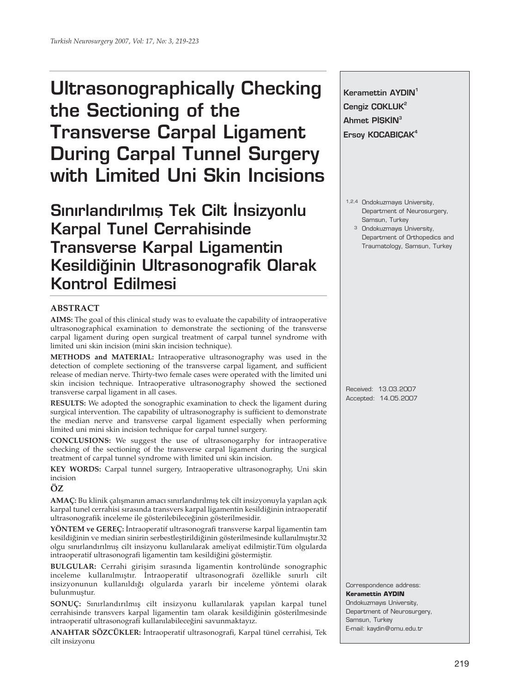# **Ultrasonographically Checking the Sectioning of the Transverse Carpal Ligament During Carpal Tunnel Surgery with Limited Uni Skin Incisions**

**S**ınırlandırılmış Tek Cilt İnsizyonlu **Karpal Tunel Cerrahisinde Transverse Karpal Ligamentin Kesildi¤inin Ultrasonografik Olarak Kontrol Edilmesi**

# **ABSTRACT**

**AIMS:** The goal of this clinical study was to evaluate the capability of intraoperative ultrasonographical examination to demonstrate the sectioning of the transverse carpal ligament during open surgical treatment of carpal tunnel syndrome with limited uni skin incision (mini skin incision technique).

**METHODS and MATERIAL:** Intraoperative ultrasonography was used in the detection of complete sectioning of the transverse carpal ligament, and sufficient release of median nerve. Thirty-two female cases were operated with the limited uni skin incision technique. Intraoperative ultrasonography showed the sectioned transverse carpal ligament in all cases.

**RESULTS:** We adopted the sonographic examination to check the ligament during surgical intervention. The capability of ultrasonography is sufficient to demonstrate the median nerve and transverse carpal ligament especially when performing limited uni mini skin incision technique for carpal tunnel surgery.

**CONCLUSIONS:** We suggest the use of ultrasonogarphy for intraoperative checking of the sectioning of the transverse carpal ligament during the surgical treatment of carpal tunnel syndrome with limited uni skin incision.

**KEY WORDS:** Carpal tunnel surgery, Intraoperative ultrasonography, Uni skin incision

**ÖZ**

**AMAÇ:** Bu klinik çalışmanın amacı sınırlandırılmış tek cilt insizyonuyla yapılan açık karpal tunel cerrahisi sırasında transvers karpal ligamentin kesildiğinin intraoperatif ultrasonografik inceleme ile gösterilebileceğinin gösterilmesidir.

**YÖNTEM ve GEREÇ:** İntraoperatif ultrasonografi transverse karpal ligamentin tam kesildiğinin ve median sinirin serbestleştirildiğinin gösterilmesinde kullanılmıştır.32 olgu sınırlandırılmış cilt insizyonu kullanılarak ameliyat edilmiştir.Tüm olgularda intraoperatif ultrasonografi ligamentin tam kesildiğini göstermiştir.

**BULGULAR:** Cerrahi girişim sırasında ligamentin kontrolünde sonographic inceleme kullanılmıştır. İntraoperatif ultrasonografi özellikle sınırlı cilt insizyonunun kullanıldığı olgularda yararlı bir inceleme yöntemi olarak bulunmuştur.

**SONUÇ:** Sınırlandırılmış cilt insizyonu kullanılarak yapılan karpal tunel cerrahisinde transvers karpal ligamentin tam olarak kesildiğinin gösterilmesinde intraoperatif ultrasonografi kullanılabileceğini savunmaktayız.

**ANAHTAR SÖZCÜKLER:** İntraoperatif ultrasonografi, Karpal tünel cerrahisi, Tek cilt insizyonu

**Keramettin AYDIN1** Cengiz COKLUK<sup>2</sup> **Ahmet PISKIN<sup>3</sup> Ersoy KOCABICAK<sup>4</sup>** 

1,2,4 Ondokuzmayıs University, Department of Neurosurgery, Samsun, Turkey

<sup>3</sup> Ondokuzmayıs University, Department of Orthopedics and Traumatology, Samsun, Turkey

Received: 13.03.2007 Accepted: 14.05.2007

Correspondence address: **Keramettin AYDIN** Ondokuzmayıs University, Department of Neurosurgery, Samsun, Turkey E-mail: kaydin@omu.edu.tr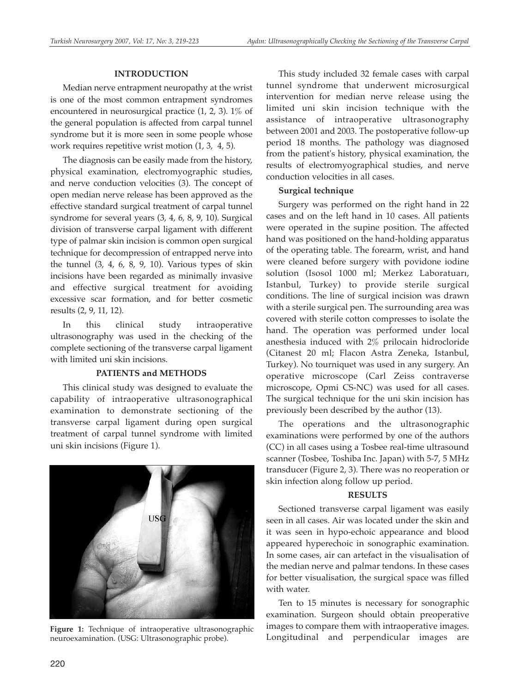## **INTRODUCTION**

Median nerve entrapment neuropathy at the wrist is one of the most common entrapment syndromes encountered in neurosurgical practice (1, 2, 3). 1% of the general population is affected from carpal tunnel syndrome but it is more seen in some people whose work requires repetitive wrist motion (1, 3, 4, 5).

The diagnosis can be easily made from the history, physical examination, electromyographic studies, and nerve conduction velocities (3). The concept of open median nerve release has been approved as the effective standard surgical treatment of carpal tunnel syndrome for several years (3, 4, 6, 8, 9, 10). Surgical division of transverse carpal ligament with different type of palmar skin incision is common open surgical technique for decompression of entrapped nerve into the tunnel  $(3, 4, 6, 8, 9, 10)$ . Various types of skin incisions have been regarded as minimally invasive and effective surgical treatment for avoiding excessive scar formation, and for better cosmetic results (2, 9, 11, 12).

In this clinical study intraoperative ultrasonography was used in the checking of the complete sectioning of the transverse carpal ligament with limited uni skin incisions.

## **PATIENTS and METHODS**

This clinical study was designed to evaluate the capability of intraoperative ultrasonographical examination to demonstrate sectioning of the transverse carpal ligament during open surgical treatment of carpal tunnel syndrome with limited uni skin incisions (Figure 1).



**Figure 1:** Technique of intraoperative ultrasonographic neuroexamination. (USG: Ultrasonographic probe).

This study included 32 female cases with carpal tunnel syndrome that underwent microsurgical intervention for median nerve release using the limited uni skin incision technique with the assistance of intraoperative ultrasonography between 2001 and 2003. The postoperative follow-up period 18 months. The pathology was diagnosed from the patient's history, physical examination, the results of electromyographical studies, and nerve conduction velocities in all cases.

# **Surgical technique**

Surgery was performed on the right hand in 22 cases and on the left hand in 10 cases. All patients were operated in the supine position. The affected hand was positioned on the hand-holding apparatus of the operating table. The forearm, wrist, and hand were cleaned before surgery with povidone iodine solution (Isosol 1000 ml; Merkez Laboratuarı, Istanbul, Turkey) to provide sterile surgical conditions. The line of surgical incision was drawn with a sterile surgical pen. The surrounding area was covered with sterile cotton compresses to isolate the hand. The operation was performed under local anesthesia induced with 2% prilocain hidrocloride (Citanest 20 ml; Flacon Astra Zeneka, Istanbul, Turkey). No tourniquet was used in any surgery. An operative microscope (Carl Zeiss contraverse microscope, Opmi CS-NC) was used for all cases. The surgical technique for the uni skin incision has previously been described by the author (13).

The operations and the ultrasonographic examinations were performed by one of the authors (CC) in all cases using a Tosbee real-time ultrasound scanner (Tosbee, Toshiba Inc. Japan) with 5-7, 5 MHz transducer (Figure 2, 3). There was no reoperation or skin infection along follow up period.

## **RESULTS**

Sectioned transverse carpal ligament was easily seen in all cases. Air was located under the skin and it was seen in hypo-echoic appearance and blood appeared hyperechoic in sonographic examination. In some cases, air can artefact in the visualisation of the median nerve and palmar tendons. In these cases for better visualisation, the surgical space was filled with water.

Ten to 15 minutes is necessary for sonographic examination. Surgeon should obtain preoperative images to compare them with intraoperative images. Longitudinal and perpendicular images are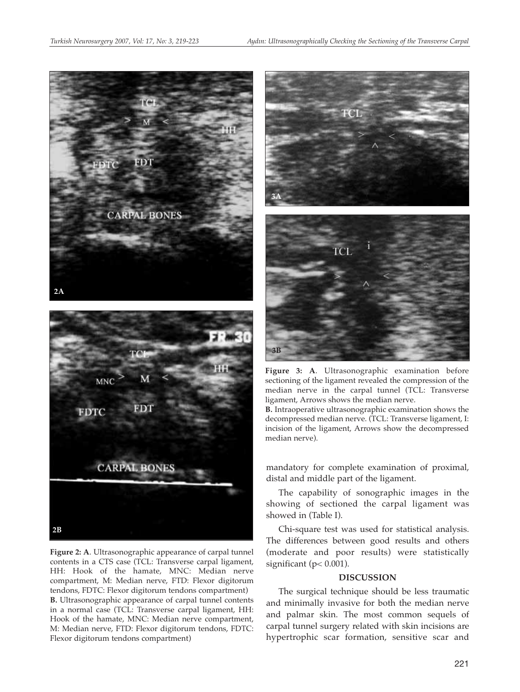

**Figure 2: A**. Ultrasonographic appearance of carpal tunnel contents in a CTS case (TCL: Transverse carpal ligament, HH: Hook of the hamate, MNC: Median nerve compartment, M: Median nerve, FTD: Flexor digitorum tendons, FDTC: Flexor digitorum tendons compartment)

**B.** Ultrasonographic appearance of carpal tunnel contents in a normal case (TCL: Transverse carpal ligament, HH: Hook of the hamate, MNC: Median nerve compartment, M: Median nerve, FTD: Flexor digitorum tendons, FDTC: Flexor digitorum tendons compartment)



**Figure 3: A**. Ultrasonographic examination before sectioning of the ligament revealed the compression of the median nerve in the carpal tunnel (TCL: Transverse ligament, Arrows shows the median nerve.

**B.** Intraoperative ultrasonographic examination shows the decompressed median nerve. (TCL: Transverse ligament, I: incision of the ligament, Arrows show the decompressed median nerve).

mandatory for complete examination of proximal, distal and middle part of the ligament.

The capability of sonographic images in the showing of sectioned the carpal ligament was showed in (Table I).

Chi-square test was used for statistical analysis. The differences between good results and others (moderate and poor results) were statistically significant (p< 0.001).

### **DISCUSSION**

The surgical technique should be less traumatic and minimally invasive for both the median nerve and palmar skin. The most common sequels of carpal tunnel surgery related with skin incisions are hypertrophic scar formation, sensitive scar and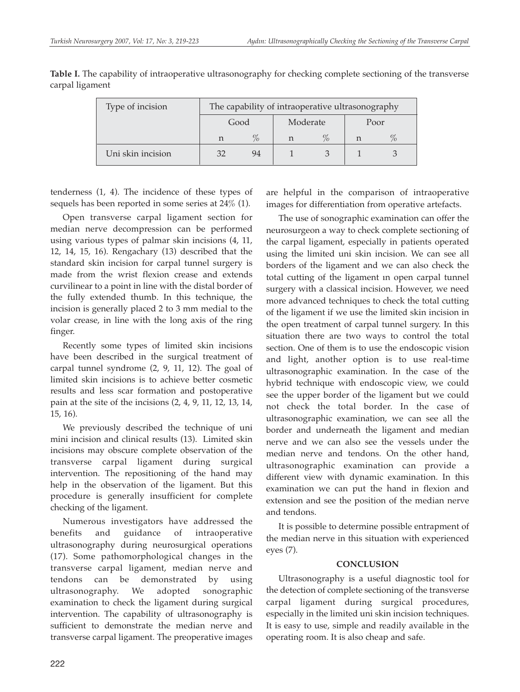| Type of incision  | The capability of intraoperative ultrasonography |      |          |      |      |  |
|-------------------|--------------------------------------------------|------|----------|------|------|--|
|                   | Good                                             |      | Moderate |      | Poor |  |
|                   |                                                  | $\%$ |          | $\%$ |      |  |
| Uni skin incision | 32                                               | 94   |          |      |      |  |

**Table I.** The capability of intraoperative ultrasonography for checking complete sectioning of the transverse carpal ligament

tenderness (1, 4). The incidence of these types of sequels has been reported in some series at 24% (1).

Open transverse carpal ligament section for median nerve decompression can be performed using various types of palmar skin incisions (4, 11, 12, 14, 15, 16). Rengachary (13) described that the standard skin incision for carpal tunnel surgery is made from the wrist flexion crease and extends curvilinear to a point in line with the distal border of the fully extended thumb. In this technique, the incision is generally placed 2 to 3 mm medial to the volar crease, in line with the long axis of the ring finger.

Recently some types of limited skin incisions have been described in the surgical treatment of carpal tunnel syndrome (2, 9, 11, 12). The goal of limited skin incisions is to achieve better cosmetic results and less scar formation and postoperative pain at the site of the incisions (2, 4, 9, 11, 12, 13, 14, 15, 16).

We previously described the technique of uni mini incision and clinical results (13). Limited skin incisions may obscure complete observation of the transverse carpal ligament during surgical intervention. The repositioning of the hand may help in the observation of the ligament. But this procedure is generally insufficient for complete checking of the ligament.

Numerous investigators have addressed the benefits and guidance of intraoperative ultrasonography during neurosurgical operations (17). Some pathomorphological changes in the transverse carpal ligament, median nerve and tendons can be demonstrated by using ultrasonography. We adopted sonographic examination to check the ligament during surgical intervention. The capability of ultrasonography is sufficient to demonstrate the median nerve and transverse carpal ligament. The preoperative images

are helpful in the comparison of intraoperative images for differentiation from operative artefacts.

The use of sonographic examination can offer the neurosurgeon a way to check complete sectioning of the carpal ligament, especially in patients operated using the limited uni skin incision. We can see all borders of the ligament and we can also check the total cutting of the ligament ın open carpal tunnel surgery with a classical incision. However, we need more advanced techniques to check the total cutting of the ligament if we use the limited skin incision in the open treatment of carpal tunnel surgery. In this situation there are two ways to control the total section. One of them is to use the endoscopic vision and light, another option is to use real-time ultrasonographic examination. In the case of the hybrid technique with endoscopic view, we could see the upper border of the ligament but we could not check the total border. In the case of ultrasonographic examination, we can see all the border and underneath the ligament and median nerve and we can also see the vessels under the median nerve and tendons. On the other hand, ultrasonographic examination can provide a different view with dynamic examination. In this examination we can put the hand in flexion and extension and see the position of the median nerve and tendons.

It is possible to determine possible entrapment of the median nerve in this situation with experienced eyes (7).

# **CONCLUSION**

Ultrasonography is a useful diagnostic tool for the detection of complete sectioning of the transverse carpal ligament during surgical procedures, especially in the limited uni skin incision techniques. It is easy to use, simple and readily available in the operating room. It is also cheap and safe.